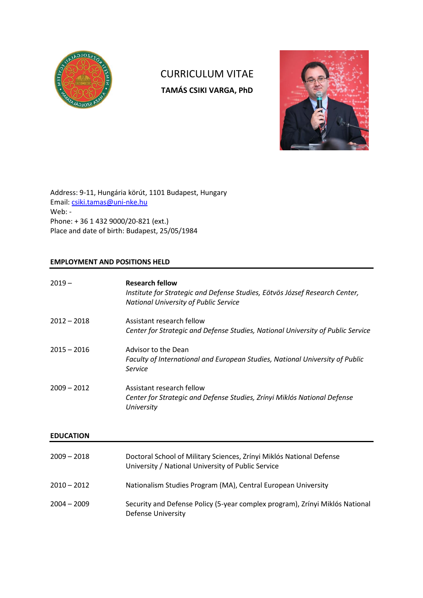

# CURRICULUM VITAE **TAMÁS CSIKI VARGA, PhD**



Address: 9-11, Hungária körút, 1101 Budapest, Hungary Email: [csiki.tamas@uni-nke.hu](mailto:csiki.tamas@uni-nke.hu) Web: - Phone: + 36 1 432 9000/20-821 (ext.) Place and date of birth: Budapest, 25/05/1984

# **EMPLOYMENT AND POSITIONS HELD**

| $2019 -$         | <b>Research fellow</b><br>Institute for Strategic and Defense Studies, Eötvös József Research Center,<br><b>National University of Public Service</b> |
|------------------|-------------------------------------------------------------------------------------------------------------------------------------------------------|
| $2012 - 2018$    | Assistant research fellow<br>Center for Strategic and Defense Studies, National University of Public Service                                          |
| $2015 - 2016$    | Advisor to the Dean<br>Faculty of International and European Studies, National University of Public<br>Service                                        |
| $2009 - 2012$    | Assistant research fellow<br>Center for Strategic and Defense Studies, Zrínyi Miklós National Defense<br>University                                   |
| <b>EDUCATION</b> |                                                                                                                                                       |
| $2009 - 2018$    | Doctoral School of Military Sciences, Zrínyi Miklós National Defense<br>University / National University of Public Service                            |
| $2010 - 2012$    | Nationalism Studies Program (MA), Central European University                                                                                         |
| $2004 - 2009$    | Security and Defense Policy (5-year complex program), Zrínyi Miklós National<br><b>Defense University</b>                                             |